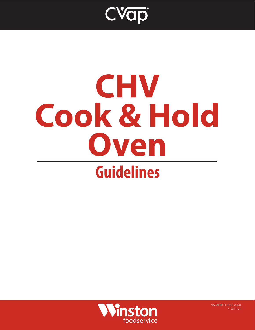

# **CHV Cook & Hold Oven Guidelines**



doc20200211rbs1 rev00 rs 02-10-21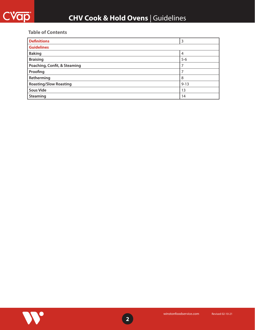#### **Table of Contents**

| <b>Definitions</b>            | 3        |
|-------------------------------|----------|
| <b>Guidelines</b>             |          |
| <b>Baking</b>                 | 4        |
| <b>Braising</b>               | $5-6$    |
| Poaching, Confit, & Steaming  |          |
| Proofing                      |          |
| Retherming                    | 8        |
| <b>Roasting/Slow Roasting</b> | $9 - 13$ |
| <b>Sous Vide</b>              | 13       |
| <b>Steaming</b>               | 14       |

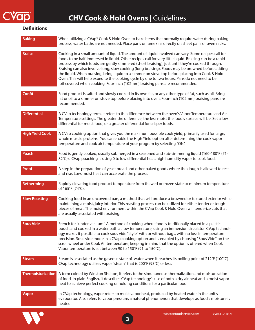<span id="page-2-0"></span>

#### **Definitions**

| <b>Baking</b>          | When utilizing a CVap® Cook & Hold Oven to bake items that normally require water during baking<br>process, water baths are not needed. Place pans or ramekins directly on sheet pans or oven racks.                                                                                                                                                                                                                                                                                                                                                                                                                                                                                                   |
|------------------------|--------------------------------------------------------------------------------------------------------------------------------------------------------------------------------------------------------------------------------------------------------------------------------------------------------------------------------------------------------------------------------------------------------------------------------------------------------------------------------------------------------------------------------------------------------------------------------------------------------------------------------------------------------------------------------------------------------|
| <b>Braise</b>          | Cooking in a small amount of liquid. The amount of liquid involved can vary. Some recipes call for<br>foods to be half-immersed in liquid. Other recipes call for very little liquid. Braising can be a rapid<br>process by which foods are gently simmered (short braising), just until they're cooked through.<br>Braising can also involve long, slow cooking (long braising). Foods may be browned before adding<br>the liquid. When braising, bring liquid to a simmer on stove top before placing into Cook & Hold<br>Oven. This will help expedite the cooking cycle by one to two hours. Pans do not need to be<br>foil-covered when cooking. Four-inch (102mm) braising pans are recommended. |
| <b>Confit</b>          | Food product is salted and slowly cooked in its own fat, or any other type of fat, such as oil. Bring<br>fat or oil to a simmer on stove top before placing into oven. Four-inch (102mm) braising pans are<br>recommended.                                                                                                                                                                                                                                                                                                                                                                                                                                                                             |
| <b>Differential</b>    | A CVap technology term, it refers to the difference between the oven's Vapor Temperature and Air<br>Temperature settings. The greater the difference, the less moist the food's surface will be. Set a low<br>differential for moist food, or a greater differential for crisper foods.                                                                                                                                                                                                                                                                                                                                                                                                                |
| <b>High Yield Cook</b> | A CVap cooking option that gives you the maximum possible cook yield; primarily used for large,<br>whole muscle proteins. You can enable the High Yield option after determining the cook vapor<br>temperature and cook air temperature of your program by selecting "ON."                                                                                                                                                                                                                                                                                                                                                                                                                             |
| Poach                  | Food is gently cooked, usually submerged in a seasoned and sub-simmering liquid (160-180°F (71-<br>82°C)). CVap poaching is using 0 to low differential heat, high humidity vapor to cook food.                                                                                                                                                                                                                                                                                                                                                                                                                                                                                                        |
| Proof                  | A step in the preparation of yeast bread and other baked goods where the dough is allowed to rest<br>and rise. Low, moist heat can accelerate the process.                                                                                                                                                                                                                                                                                                                                                                                                                                                                                                                                             |
| Retherming             | Rapidly elevating food product temperature from thawed or frozen state to minimum temperature<br>of 165°F (74°C).                                                                                                                                                                                                                                                                                                                                                                                                                                                                                                                                                                                      |
| <b>Slow Roasting</b>   | Cooking food in an uncovered pan, a method that will produce a browned or textured exterior while<br>maintaining a moist, juicy interior. This roasting process can be utilized for either tender or tough<br>pieces of meat. The moist environment within the CVap Cook & Hold Oven will tenderize cuts that<br>are usually associated with braising.                                                                                                                                                                                                                                                                                                                                                 |
| <b>Sous Vide</b>       | French for "under vacuum." A method of cooking where food is traditionally placed in a plastic<br>pouch and cooked in a water bath at low temperature, using an immersion circulator. CVap technol-<br>ogy makes it possible to cook sous vide "style" with or without bags, with no loss in temperature<br>precision. Sous vide mode in a CVap cooking option and is enabled by choosing "Sous Vide" on the<br>scroll wheel under Cook Air temperature; keeping in mind that the option is offered when Cook<br>Vapor temperature is set between 90 to 150°F (91 to 150°C).                                                                                                                           |
| <b>Steam</b>           | Steam is associated as the gaseous state of water when it reaches its boiling point of 212°F (100°C).<br>CVap technology utilizes vapor "steam" that is 200°F (93°C) or less.                                                                                                                                                                                                                                                                                                                                                                                                                                                                                                                          |
|                        | Thermoisturization A term coined by Winston Shelton, it refers to the simultaneous thermalization and moisturization<br>of food. In plain English, it describes CVap technology's use of both a dry air heat and a moist vapor<br>heat to achieve perfect cooking or holding conditions for a particular food.                                                                                                                                                                                                                                                                                                                                                                                         |
| <b>Vapor</b>           | In CVap technology, vapor refers to moist vapor heat, produced by heated water in the unit's<br>evaporator. Also refers to vapor pressure, a natural phenomenon that develops as food's moisture is<br>heated.                                                                                                                                                                                                                                                                                                                                                                                                                                                                                         |
|                        | winstonfoodservice.com<br><b>Revised 02-10-21</b>                                                                                                                                                                                                                                                                                                                                                                                                                                                                                                                                                                                                                                                      |

**3**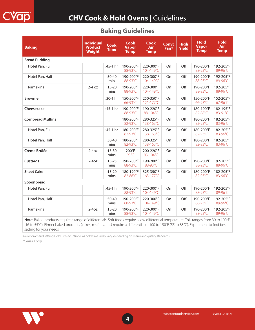<span id="page-3-0"></span>

| <b>Baking</b>            | <b>Individual</b><br><b>Product</b><br><b>Weight</b> | Cook<br><b>Time</b> | <b>Cook</b><br><b>Vapor</b><br><b>Temp</b> | <b>Cook</b><br><b>Air</b><br><b>Temp</b> | <b>Convc</b><br>Fan* | <b>High</b><br>Yield | <b>Hold</b><br><b>Vapor</b><br><b>Temp</b> | <b>Hold</b><br><b>Air</b><br><b>Temp</b> |
|--------------------------|------------------------------------------------------|---------------------|--------------------------------------------|------------------------------------------|----------------------|----------------------|--------------------------------------------|------------------------------------------|
| <b>Bread Pudding</b>     |                                                      |                     |                                            |                                          |                      |                      |                                            |                                          |
| Hotel Pan, Full          |                                                      | :45-1 hr            | 190-200°F<br>88-93°C                       | 220-300°F<br>104-149°C                   | On                   | Off                  | 190-200°F<br>88-93°C                       | 192-205°F<br>89-96°C                     |
| Hotel Pan, Half          |                                                      | $:30-40$<br>min     | 190-200°F<br>88-93°C                       | 220-300°F<br>104-149°C                   | On                   | Off                  | 190-200°F<br>88-93°C                       | 192-205°F<br>89-96°C                     |
| Ramekins                 | $2-4$ oz                                             | $:15 - 20$<br>mins  | 190-200°F<br>88-93°C                       | 220-300°F<br>104-149°C                   | On                   | Off                  | 190-200°F<br>88-93°C                       | 192-205°F<br>89-96°C                     |
| <b>Brownie</b>           |                                                      | :30-1 hr            | 150-200°F<br>66-93°C                       | 250-350°F<br>$121 - 177^{\circ}$ C       | On                   | Off                  | 150-200°F<br>66-93°C                       | 152-205°F<br>67-96°C                     |
| Cheesecake               |                                                      | :45-1 hr            | 190-200°F<br>88-93°C                       | 190-220°F<br>88-104°C                    | On                   | Off                  | 180-190°F<br>82-88°C                       | 182-195°F<br>83-91°C                     |
| <b>Cornbread Muffins</b> |                                                      |                     | 180-200°F<br>82-93°C                       | 280-325°F<br>138-163°C                   | On                   | Off                  | 180-200°F<br>82-93°C                       | 182-205°F<br>83-96°C                     |
| Hotel Pan, Full          |                                                      | $:45-1$ hr          | 180-200°F<br>82-93°C                       | 280-325°F<br>138-163°C                   | On                   | Off                  | 180-200°F<br>82-93°C                       | 182-205°F<br>83-96°C                     |
| Hotel Pan, Half          |                                                      | $:30-40$<br>mins    | 180-200°F<br>82-93°C                       | 280-325°F<br>138-163°C                   | On                   | Off                  | 180-200°F<br>82-93°C                       | 182-205°F<br>83-96°C                     |
| Crème Brûlée             | $2-4oz$                                              | $:15 - 30$<br>mins  | $200^{\circ}$ F<br>93°C                    | 200-220°F<br>93-104°C                    | On                   | Off                  |                                            |                                          |
| <b>Custards</b>          | $2-4oz$                                              | $:15-25$<br>mins    | 190-200°F<br>88-93°C                       | 190-200°F<br>88-93°C                     | On                   | Off                  | 190-200°F<br>88-93°C                       | 192-205°F<br>89-96°C                     |
| <b>Sheet Cake</b>        |                                                      | $:15 - 20$<br>mins  | 180-190°F<br>82-88°C                       | 325-350°F<br>163-177°C                   | On                   | Off                  | 180-200°F<br>82-93°C                       | 182-205°F<br>83-96°C                     |
| Spoonbread               |                                                      |                     |                                            |                                          |                      |                      |                                            |                                          |
| Hotel Pan, Full          |                                                      | :45-1 hr            | 190-200°F<br>88-93°C                       | 220-300°F<br>104-149°C                   | On                   | Off                  | 190-200°F<br>88-93°C                       | 192-205°F<br>89-96°C                     |

#### **Baking Guidelines**

Ramekins 2-4oz :15-20 mins 190-200°F 88-93°C 220-300°F 104-149°C On Off 190-200°F 88-93°C 192-205°F 89-96°C Note: Baked products require a range of differentials. Soft foods require a low differential temperature. This ranges from 30 to 100°F (16 to 55°C). Firmer baked products (cakes, muffins, etc.) require a differential of 100 to 150°F (55 to 83°C). Experiment to find best setting for your needs.

190-200°F 88-93°C

220-300°F 104-149°C

mins

We recommend setting Hold Time to Infinite, as hold times may vary, depending on menu and quality standards.

Hotel Pan, Half :30-40

\*Series 7 only.



On Off 190-200°F

88-93°C

192-205°F 89-96°C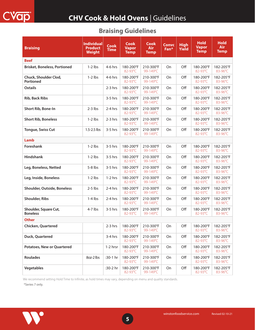#### **Braising Guidelines**

<span id="page-4-0"></span>

| <b>Braising</b>                           | <b>Individual</b><br><b>Product</b><br><b>Weight</b> | <b>Cook</b><br><b>Time</b> | Cook<br><b>Vapor</b><br><b>Temp</b> | <b>Cook</b><br>Air<br><b>Temp</b> | Convc<br>Fan* | <b>High</b><br><b>Yield</b> | <b>Hold</b><br><b>Vapor</b><br><b>Temp</b> | <b>Hold</b><br><b>Air</b><br><b>Temp</b> |
|-------------------------------------------|------------------------------------------------------|----------------------------|-------------------------------------|-----------------------------------|---------------|-----------------------------|--------------------------------------------|------------------------------------------|
| <b>Beef</b>                               |                                                      |                            |                                     |                                   |               |                             |                                            |                                          |
| <b>Brisket, Boneless, Portioned</b>       | $1-2$ lbs                                            | $4-6$ hrs                  | 180-200°F<br>82-93°C                | 210-300°F<br>99-149°C             | On            | Off                         | 180-200°F<br>82-93°C                       | 182-205°F<br>83-96°C                     |
| Chuck, Shoulder Clod,<br><b>Portioned</b> | $1-2$ lbs                                            | $4-6$ hrs                  | 180-200°F<br>82-93°C                | 210-300°F<br>99-149°C             | On            | Off                         | 180-200°F<br>82-93°C                       | 182-205°F<br>83-96°C                     |
| <b>Oxtails</b>                            |                                                      | $2-3$ hrs                  | 180-200°F<br>82-93°C                | 210-300°F<br>99-149°C             | On            | Off                         | 180-200°F<br>82-93°C                       | 182-205°F<br>$83 - 96^{\circ}$ C         |
| <b>Rib, Back Ribs</b>                     |                                                      | $3-5$ hrs                  | 180-200°F<br>82-93°C                | 210-300°F<br>99-149°C             | On            | Off                         | 180-200°F<br>82-93°C                       | 182-205°F<br>83-96°C                     |
| <b>Short Rib, Bone-In</b>                 | $2-3$ lbs                                            | $2-4$ hrs                  | 180-200°F<br>82-93°C                | 210-300°F<br>99-149°C             | On            | Off                         | 180-200°F<br>82-93°C                       | 182-205°F<br>83-96°C                     |
| <b>Short Rib, Boneless</b>                | $1-2$ lbs                                            | $2-3$ hrs                  | 180-200°F<br>82-93°C                | 210-300°F<br>99-149°C             | On            | Off                         | 180-200°F<br>82-93°C                       | 182-205°F<br>83-96°C                     |
| <b>Tongue, Swiss Cut</b>                  | $1.5 - 2.5$ lbs                                      | 3-5 hrs                    | 180-200°F<br>82-93°C                | 210-300°F<br>99-149°C             | On            | Off                         | 180-200°F<br>$82 - 93^{\circ}$ C           | 182-205°F<br>83-96°C                     |
| Lamb                                      |                                                      |                            |                                     |                                   |               |                             |                                            |                                          |
| Foreshank                                 | $1-2$ lbs                                            | $3-5$ hrs                  | 180-200°F<br>82-93°C                | 210-300°F<br>99-149°C             | On            | Off                         | 180-200°F<br>82-93°C                       | 182-205°F<br>83-96°C                     |
| <b>Hindshank</b>                          | $1-2$ lbs                                            | $3-5$ hrs                  | 180-200°F<br>82-93°C                | 210-300°F<br>99-149°C             | On            | Off                         | 180-200°F<br>82-93°C                       | 182-205°F<br>83-96°C                     |
| Leg, Boneless, Netted                     | $5-8$ lbs                                            | $3-5$ hrs                  | 180-200°F<br>82-93°C                | 210-300°F<br>99-149°C             | On            | Off                         | 180-200°F<br>82-93°C                       | 182-205°F<br>83-96°C                     |
| Leg, Inside, Boneless                     | $1-2$ lbs                                            | $1-2$ hrs                  | 180-200°F<br>82-93°C                | 210-300°F<br>99-149°C             | On            | Off                         | 180-200°F<br>82-93°C                       | 182-205°F<br>83-96°C                     |
| Shoulder, Outside, Boneless               | $2-5$ lbs                                            | $2-4$ hrs                  | 180-200°F<br>82-93°C                | 210-300°F<br>99-149°C             | On            | Off                         | 180-200°F<br>82-93°C                       | 182-205°F<br>83-96°C                     |
| Shoulder, Ribs                            | $1-4$ lbs                                            | $2-4$ hrs                  | 180-200°F<br>82-93°C                | 210-300°F<br>99-149°C             | On            | Off                         | 180-200°F<br>82-93°C                       | 182-205°F<br>83-96°C                     |
| Shoulder, Square Cut,<br><b>Boneless</b>  | $4-7$ lbs                                            | $3-5$ hrs                  | 180-200°F<br>82-93°C                | 210-300°F<br>99-149°C             | On            | Off                         | 180-200°F<br>82-93°C                       | 182-205°F<br>83-96°C                     |
| <b>Other</b>                              |                                                      |                            |                                     |                                   |               |                             |                                            |                                          |
| <b>Chicken, Quartered</b>                 |                                                      | $2-3$ hrs                  | 180-200°F<br>82-93°C                | 210-300°F<br>99-149°C             | On            | Off                         | 180-200°F<br>82-93°C                       | 182-205°F<br>83-96°C                     |
| Duck, Quartered                           |                                                      | $3-4$ hrs                  | 180-200°F<br>82-93°C                | 210-300°F<br>99-149°C             | On            | Off                         | 180-200°F<br>82-93°C                       | 182-205°F<br>83-96°C                     |
| <b>Potatoes, New or Quartered</b>         |                                                      | 1-2 hrsr                   | 180-200°F<br>82-93°C                | 210-300°F<br>99-149°C             | On            | Off                         | 180-200°F<br>82-93°C                       | 182-205°F<br>83-96°C                     |
| <b>Roulades</b>                           | 8oz-2 lbs                                            | :30-1 hr                   | 180-200°F<br>82-93°C                | 210-300°F<br>99-149°C             | On            | Off                         | 180-200°F<br>82-93°C                       | 182-205°F<br>83-96°C                     |
| <b>Vegetables</b>                         |                                                      | :30-2 hr                   | 180-200°F<br>82-93°C                | 210-300°F<br>99-149°C             | On            | Off                         | 180-200°F<br>82-93°C                       | 182-205°F<br>83-96°C                     |

We recommend setting Hold Time to Infinite, as hold times may vary, depending on menu and quality standards.

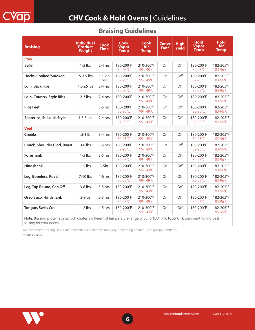| <b>Braising</b>                                                                                                                | <b>Individual</b><br><b>Product</b><br>Weight | <b>Cook</b><br><b>Time</b> | <b>Cook</b><br><b>Vapor</b><br><b>Temp</b> | <b>Cook</b><br><b>Air</b><br><b>Temp</b> | <b>Convc</b><br>Fan* | <b>High</b><br><b>Yield</b> | <b>Hold</b><br><b>Vapor</b><br><b>Temp</b> | <b>Hold</b><br>Air<br><b>Temp</b> |
|--------------------------------------------------------------------------------------------------------------------------------|-----------------------------------------------|----------------------------|--------------------------------------------|------------------------------------------|----------------------|-----------------------------|--------------------------------------------|-----------------------------------|
| <b>Pork</b>                                                                                                                    |                                               |                            |                                            |                                          |                      |                             |                                            |                                   |
| <b>Belly</b>                                                                                                                   | $1-2$ lbs                                     | $2-4$ hrs                  | 180-200°F<br>82-93°C                       | 210-300°F<br>99-149°C                    | On                   | Off                         | 180-200°F<br>82-93°C                       | 182-205°F<br>83-96°C              |
| Hocks, Cooked/Smoked                                                                                                           | $.5 - 1.5$ lbs                                | $1.5 - 2.5$<br>hrs         | 180-200°F<br>82-93°C                       | 210-300°F<br>99-149°C                    | On                   | Off                         | 180-200°F<br>82-93°C                       | 182-205°F<br>83-96°C              |
| Loin, Back Ribs                                                                                                                | 1.5-2.5 lbs                                   | $2-4$ hrs                  | 180-200°F<br>82-93°C                       | 210-300°F<br>99-149°C                    | On                   | Off                         | 180-200°F<br>82-93°C                       | 182-205°F<br>83-96°C              |
| Loin, Country-Style Ribs                                                                                                       | $2-3$ lbs                                     | $2-4$ hrs                  | 180-200°F<br>82-93°C                       | 210-300°F<br>99-149°C                    | On                   | Off                         | 180-200°F<br>82-93°C                       | 182-205°F<br>83-96°C              |
| <b>Pigs Feet</b>                                                                                                               |                                               | $3-5$ hrs                  | 180-200°F<br>82-93°C                       | 210-300°F<br>99-149°C                    | On                   | Off                         | 180-200°F<br>82-93°C                       | 182-205°F<br>83-96°C              |
| Spareribs, St. Louis Style                                                                                                     | $1.5 - 3$ lbs                                 | $2-4$ hrs                  | 180-200°F<br>82-93°C                       | 210-300°F<br>99-149°C                    | On                   | Off                         | 180-200°F<br>82-93°C                       | 182-205°F<br>83-96°C              |
| <b>Veal</b>                                                                                                                    |                                               |                            |                                            |                                          |                      |                             |                                            |                                   |
| <b>Cheeks</b>                                                                                                                  | $.5-1$ lb                                     | $3-4$ hrs                  | 180-200°F<br>82-93°C                       | 210-300°F<br>99-149°C                    | On                   | Off                         | 180-200°F<br>82-93°C                       | 182-205°F<br>83-96°C              |
| Chuck, Shoulder Clod, Roast                                                                                                    | $3-6$ lbs                                     | $3-5$ hrs                  | 180-200°F<br>82-93°C                       | 210-300°F<br>99-149°C                    | On                   | Off                         | 180-200°F<br>82-93°C                       | 182-205°F<br>83-96°C              |
| Foreshank                                                                                                                      | $1-5$ lbs                                     | $3-5$ hrs                  | 180-200°F<br>82-93°C                       | 210-300°F<br>99-149°C                    | On                   | Off                         | 180-200°F<br>82-93°C                       | 182-205°F<br>83-96°C              |
| <b>Hindshank</b>                                                                                                               | $1-5$ lbs                                     | $3-5hr$                    | 180-200°F<br>82-93°C                       | 210-300°F<br>99-149°C                    | On                   | Off                         | 180-200°F<br>82-93°C                       | 182-205°F<br>83-96°C              |
| Leg, Boneless, Roast                                                                                                           | 7-10 lbs                                      | $4-6$ hrs                  | 180-200°F<br>82-93°C                       | 210-300°F<br>99-149°C                    | On                   | Off                         | 180-200°F<br>82-93°C                       | 182-205°F<br>83-96°C              |
| Leg, Top Round, Cap Off                                                                                                        | $3-8$ lbs                                     | $3-5$ hrs                  | 180-200°F<br>82-93°C                       | 210-300°F<br>99-149°C                    | On                   | Off                         | 180-200°F<br>82-93°C                       | 182-205°F<br>83-96°C              |
| Osso Buco, Hindshank                                                                                                           | $2-8$ oz                                      | $2-3$ hrs                  | 180-200°F<br>82-93°C                       | 210-300°F<br>99-149°C                    | On                   | Off                         | 180-200°F<br>82-93°C                       | 182-205°F<br>83-96°C              |
| <b>Tongue, Swiss Cut</b>                                                                                                       | $1-2$ lbs                                     | $4-5$ hrs                  | 180-200°F<br>82-93°C                       | 210-300°F<br>99-149°C                    | <b>On</b>            | Off                         | 180-200°F<br>82-93°C                       | 182-205°F<br>83-96°C              |
| Note: Braising proteins or carbohydrates a differential temperature range of 30 to 100°F (16 to 55°C). Experiment to find best |                                               |                            |                                            |                                          |                      |                             |                                            |                                   |

#### **Braising Guidelines**

We recommend setting Hold Time to Infinite, as hold times may vary, depending on menu and quality standards.

\*Series 7 only.

setting for your needs.

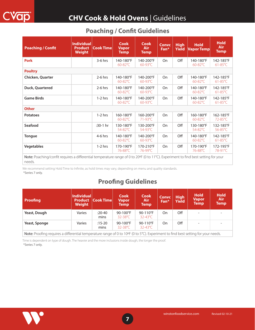#### **Poaching / Confit Guidelines**

<span id="page-6-0"></span>

| <b>Poaching / Confit</b>                                                                                                                     | <b>Individual</b><br><b>Product</b><br><b>Weight</b> | Cook Time  | <b>Cook</b><br><b>Vapor</b><br><b>Temp</b> | <b>Cook</b><br>Air.<br><b>Temp</b> | <b>Convc</b><br>Fan* | <b>High</b><br>Yield | <b>Hold</b><br>Vapor Temp       | <b>Hold</b><br>Air<br><b>Temp</b> |
|----------------------------------------------------------------------------------------------------------------------------------------------|------------------------------------------------------|------------|--------------------------------------------|------------------------------------|----------------------|----------------------|---------------------------------|-----------------------------------|
| <b>Pork</b>                                                                                                                                  |                                                      | $3-6$ hrs  | 140-180°F<br>$60 - 82^{\circ}C$            | 140-200°F<br>$60 - 93^{\circ}$ C   | On                   | Off                  | 140-180°F<br>$60 - 82^{\circ}C$ | 142-185°F<br>$61-85^{\circ}$ C    |
| <b>Poultry</b>                                                                                                                               |                                                      |            |                                            |                                    |                      |                      |                                 |                                   |
| Chicken, Quarter                                                                                                                             |                                                      | $2-6$ hrs  | 140-180°F<br>$60 - 82^{\circ}C$            | 140-200°F<br>$60 - 93^{\circ}C$    | <b>On</b>            | Off                  | 140-180°F<br>$60 - 82$ °C       | 142-185°F<br>$61-85^{\circ}$ C    |
| Duck, Quartered                                                                                                                              |                                                      | $2-6$ hrs  | 140-180°F<br>$60 - 82^{\circ}C$            | 140-200°F<br>$60 - 93^{\circ}C$    | On                   | Off                  | 140-180°F<br>60-82°C            | 142-185°F<br>$61-85^{\circ}$ C    |
| <b>Game Birds</b>                                                                                                                            |                                                      | $1-2$ hrs  | 140-180°F<br>$60 - 82^{\circ}C$            | 140-200°F<br>$60 - 93^{\circ}C$    | On                   | Off                  | 140-180°F<br>$60 - 82$ °C       | 142-185°F<br>$61-85^{\circ}$ C    |
| <b>Other</b>                                                                                                                                 |                                                      |            |                                            |                                    |                      |                      |                                 |                                   |
| <b>Potatoes</b>                                                                                                                              |                                                      | $1-2$ hrs  | 160-180°F<br>$60 - 82^{\circ}C$            | 160-200°F<br>71-93°C               | On                   | Off                  | 160-180°F<br>$60 - 82$ °C       | 162-185°F<br>72-85°C              |
| Seafood                                                                                                                                      |                                                      | $:30-1$ hr | 130-180°F<br>54-82°C                       | 130-200°F<br>$54 - 93^{\circ}$ C   | On                   | Off                  | 130-180°F<br>54-82°C            | 132-185°F<br>56-85°C              |
| <b>Tongue</b>                                                                                                                                |                                                      | $4-6$ hrs  | 140-180°F<br>$60 - 82$ °C                  | 140-200°F<br>$60 - 93^{\circ}$ C   | On                   | Off                  | 140-180°F<br>$60 - 82^{\circ}C$ | 142-185°F<br>$61-85^{\circ}$ C    |
| <b>Vegetables</b>                                                                                                                            |                                                      | $1-2$ hrs  | 170-190°F<br>76-88°C                       | 170-210°F<br>76-99°C               | On                   | Off                  | 170-190°F<br>76-88°C            | 172-195°F<br>78-91°C              |
| Note: Poaching/confit requires a differential temperature range of 0 to 20°F (0 to 11°C). Experiment to find best setting for your<br>needs. |                                                      |            |                                            |                                    |                      |                      |                                 |                                   |

\*Series 7 only. We recommend setting Hold Time to Infinite, as hold times may vary, depending on menu and quality standards.

## **Proofing Guidelines**

| <b>Proofing</b>                                                                                                                   | <b>Individual</b><br><b>Product</b><br>Weight | <b>Cook Time</b>   | <b>Cook</b><br><b>Vapor</b><br><b>Temp</b> | <b>Cook</b><br>Air<br><b>Temp</b>       | <b>Convc</b><br>Fan* | <b>High</b><br><b>Yield</b> | <b>Hold</b><br><b>Vapor</b><br><b>Temp</b> | <b>Hold</b><br>Air<br><b>Temp</b> |  |
|-----------------------------------------------------------------------------------------------------------------------------------|-----------------------------------------------|--------------------|--------------------------------------------|-----------------------------------------|----------------------|-----------------------------|--------------------------------------------|-----------------------------------|--|
| Yeast, Dough                                                                                                                      | Varies                                        | $:20-40$<br>mins   | 90-100°F<br>$32 - 38^{\circ}$ C            | $90-110^{\circ}F$<br>$32 - 43^{\circ}C$ | On                   | Off                         |                                            |                                   |  |
| Yeast, Sponge                                                                                                                     | Varies                                        | $:15 - 20$<br>mins | 90-100°F<br>$32 - 38^{\circ}$ C            | 90-110°F<br>$32 - 43^{\circ}$ C         | On                   | Off                         |                                            |                                   |  |
| Note: Proofing requires a differential temperature range of 0 to 10°F (0 to 5°C). Experiment to find best setting for your needs. |                                               |                    |                                            |                                         |                      |                             |                                            |                                   |  |

\*Series 7 only. Time is dependent on type of dough. The heavier and the more inclusions inside dough, the longer the proof.

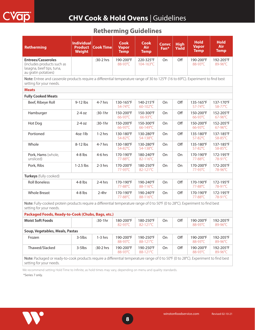## **Retherming Guidelines**

<span id="page-7-0"></span>

| <b>Retherming</b>                                                                                                                                              | <b>Individual</b><br><b>Product</b><br><b>Weight</b> | <b>Cook Time</b> | <b>Cook</b><br><b>Vapor</b><br><b>Temp</b> | <b>Cook</b><br><b>Air</b><br><b>Temp</b> | <b>Convc</b><br>Fan* | <b>High</b><br><b>Yield</b> | <b>Hold</b><br><b>Vapor</b><br><b>Temp</b> | <b>Hold</b><br><b>Air</b><br><b>Temp</b> |
|----------------------------------------------------------------------------------------------------------------------------------------------------------------|------------------------------------------------------|------------------|--------------------------------------------|------------------------------------------|----------------------|-----------------------------|--------------------------------------------|------------------------------------------|
| <b>Entrees/Casseroles</b><br>(includes products such as<br>lasagna, beef tips, tuna,<br>au gratin potatoes)                                                    |                                                      | :30-2 hrs        | 190-200°F<br>88-93°C                       | 220-325°F<br>104-163°C                   | On                   | Off                         | 190-200°F<br>88-93°C                       | 192-205°F<br>89-96°C                     |
| Note: Entree and casserole products require a differential temperature range of 30 to 125°F (16 to 69°C). Experiment to find best<br>setting for your needs.   |                                                      |                  |                                            |                                          |                      |                             |                                            |                                          |
| <b>Meats</b>                                                                                                                                                   |                                                      |                  |                                            |                                          |                      |                             |                                            |                                          |
| <b>Fully Cooked Meats</b>                                                                                                                                      |                                                      |                  |                                            |                                          |                      |                             |                                            |                                          |
| Beef, Ribeye Roll                                                                                                                                              | 9-12 lbs                                             | 4-7 hrs          | 130-165°F<br>54-74°C                       | 140-215°F<br>60-102°C                    | On                   | Off                         | 135-165°F<br>57-74°C                       | 137-170°F<br>58-77°C                     |
| Hamburger                                                                                                                                                      | $2-4$ oz                                             | :30-1hr          | 150-200°F<br>66-93°C                       | 150-300°F<br>66-93°C                     | On                   | Off                         | 150-200°F<br>66-93°C                       | 152-205°F<br>67-96°C                     |
| Hot Dog                                                                                                                                                        | $2-4$ oz                                             | :30-1hr          | 150-200°F<br>66-93°C                       | 150-300°F<br>66-149°C                    | On                   | Off                         | 150-200°F<br>66-93°C                       | 152-205°F<br>67-96°C                     |
| Portioned                                                                                                                                                      | $4oz-1lb$                                            | $1-2$ hrs        | 130-180°F<br>54-82°C                       | 130-280°F<br>54-138°C                    | On                   | Off                         | 135-180°F<br>57-82°C                       | 137-185°F<br>58-85°C                     |
| Whole                                                                                                                                                          | 8-12 lbs                                             | $4-7$ hrs        | 130-180°F<br>54-82°C                       | 130-280°F<br>54-138°C                    | On                   | Off                         | 135-180°F<br>57-82°C                       | 137-185°F<br>58-85°C                     |
| Pork, Hams (whole,<br>unsliced)                                                                                                                                | $4-8$ lbs                                            | 4-6 hrs          | 170-190°F<br>77-88°C                       | 180-240°F<br>82-116°C                    | On                   | On                          | 170-190°F<br>77-88°C                       | 172-195°F<br>78-91°C                     |
| Pork, Ribs                                                                                                                                                     | $1-2.5$ lbs                                          | $2-3$ hrs        | 170-200°F<br>77-93°C                       | 180-250°F<br>82-121°C                    | On                   | On                          | 170-200°F<br>77-93°C                       | 172-205°F<br>78-96°C                     |
| Turkeys (fully cooked)                                                                                                                                         |                                                      |                  |                                            |                                          |                      |                             |                                            |                                          |
| <b>Roll Boneless</b>                                                                                                                                           | $4-8$ lbs                                            | 2-4 hrs          | 170-190°F<br>77-88°C                       | 190-240°F<br>88-116°C                    | On                   | Off                         | 170-190°F<br>77-88°C                       | 172-195°F<br>78-91°C                     |
| <b>Whole Breast</b>                                                                                                                                            | $4-8$ lbs                                            | $2-4hr$          | 170-190°F<br>77-88°C                       | 190-240°F<br>88-116°C                    | On                   | Off                         | 170-190°F<br>77-88°C                       | 172-195°F<br>78-91°C                     |
| Note: Fully-cooked protein products require a differential temperature range of 0 to 50°F (0 to 28°C). Experiment to find best<br>setting for your needs.      |                                                      |                  |                                            |                                          |                      |                             |                                            |                                          |
| Packaged Foods, Ready-to-Cook (Chubs, Bags, etc.)                                                                                                              |                                                      |                  |                                            |                                          |                      |                             |                                            |                                          |
| <b>Moist Soft Foods</b>                                                                                                                                        |                                                      | $:30-1hr$        | 180-200°F<br>82-93°C                       | 180-250°F<br>82-121°C                    | On                   | Off                         | 190-200°F<br>88-93°C                       | 192-205°F<br>89-96°C                     |
| Soup, Vegetables, Meals, Pastas                                                                                                                                |                                                      |                  |                                            |                                          |                      |                             |                                            |                                          |
| Frozen                                                                                                                                                         | 3-5lbs                                               | $1-3$ hrs        | 190-200°F<br>88-93°C                       | 190-250°F<br>88-121°C                    | On                   | Off                         | 190-200°F<br>88-93°C                       | 192-205°F<br>89-96°C                     |
| Thawed/Slacked                                                                                                                                                 | $3-5$ lbs                                            | :30-2 hrs        | 190-200°F<br>88-93°C                       | 190-250°F<br>88-121°C                    | On                   | Off                         | 190-200°F<br>88-93°C                       | 192-205°F<br>89-96°C                     |
| Note: Packaged or ready-to-cook products require a differential temperature range of 0 to 50°F (0 to 28°C). Experiment to find best<br>setting for your needs. |                                                      |                  |                                            |                                          |                      |                             |                                            |                                          |

We recommend setting Hold Time to Infinite, as hold times may vary, depending on menu and quality standards.

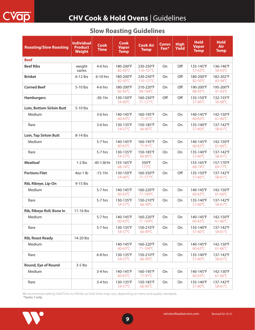<span id="page-8-0"></span>

| <b>Roasting/Slow Roasting</b> | <b>Individual</b><br><b>Product</b><br><b>Weight</b> | <b>Cook</b><br><b>Time</b> | <b>Cook</b><br><b>Vapor</b><br><b>Temp</b> | <b>Cook Air</b><br><b>Temp</b> | <b>Convc</b><br>Fan* | <b>High</b><br><b>Yield</b> | <b>Hold</b><br><b>Vapor</b><br><b>Temp</b> | <b>Hold</b><br><b>Air</b><br><b>Temp</b> |
|-------------------------------|------------------------------------------------------|----------------------------|--------------------------------------------|--------------------------------|----------------------|-----------------------------|--------------------------------------------|------------------------------------------|
| <b>Beef</b>                   |                                                      |                            |                                            |                                |                      |                             |                                            |                                          |
| <b>Beef Ribs</b>              | weight<br>varies                                     | 4-6 hrs                    | 180-200°F<br>82-93°C                       | 230-250°F<br>110-121°C         | On                   | Off                         | 135-145°F<br>57-63°C                       | 136-146°F<br>58-63°C                     |
| <b>Brisket</b>                | $6-12$ lbs                                           | 6-10 hrs                   | 180-200°F<br>82-93°C                       | 230-250°F<br>110-121°C         | On                   | Off                         | 180-200°F<br>82-93°C                       | 182-202°F<br>83-94°C                     |
| <b>Corned Beef</b>            | 5-10 lbs                                             | 4-6 hrs                    | 180-200°F<br>82-93°C                       | 210-220°F<br>99-104°C          | On                   | Off                         | 190-200°F<br>88-93°C                       | 195-200°F<br>91-93°C                     |
| <b>Hamburgers</b>             |                                                      | :30-1hr                    | 130-150°F<br>54-66°C                       | 160-250°F<br>71-121°C          | Off                  | Off                         | 135-150°F<br>57-66°C                       | 132-155°F<br>56-68°C                     |
| Loin, Bottom Sirloin Butt     | 5-10 lbs                                             |                            |                                            |                                |                      |                             |                                            |                                          |
| Medium                        |                                                      | 3-6 hrs                    | 140-145°F<br>60-63°C                       | 160-195°F<br>71-91°C           | On                   | On                          | 140-145°F<br>$60-63$ °C                    | 142-150°F<br>$61-66^{\circ}$ C           |
| Rare                          |                                                      | 3-6 hrs                    | 130-135°F<br>54-57°C                       | 150-185°F<br>66-85°C           | On                   | On                          | 135-140°F<br>57-60°C                       | 137-142°F<br>58-61°C                     |
| Loin, Top Sirloin Butt        | 8-14 lbs                                             |                            |                                            |                                |                      |                             |                                            |                                          |
| Medium                        |                                                      | 5-7 hrs                    | 140-145°F<br>$60-63$ °C                    | 160-195°F<br>71-91°C           | On                   | On                          | 140-145°F<br>$60-63$ °C                    | 142-150°F<br>$61-66^{\circ}C$            |
| Rare                          |                                                      | 5-7 hrs                    | 130-135°F<br>54-57°C                       | 150-185°F<br>66-85°C           | On                   | On                          | 135-140°F<br>57-60°C                       | 137-142°F<br>58-61°C                     |
| <b>Meatloaf</b>               | $1-2$ lbs                                            | :45-1:30 hr                | 155-165°F<br>68-74°C                       | 350°F<br>177°C                 | On                   |                             | 155-165°F<br>68-74°C                       | 157-170°F<br>69-77°C                     |
| <b>Portions Filet</b>         | $4oz-1$ lb                                           | $:15-1hr$                  | 130-150°F<br>54-66°C                       | 160-350°F<br>71-177°C          | On                   | Off                         | 135-150°F<br>57-66°C                       | 137-142°F<br>58-61°C                     |
| Rib, Ribeye, Lip-On           | 9-15 lbs                                             |                            |                                            |                                |                      |                             |                                            |                                          |
| Medium                        |                                                      | 5-7 hrs                    | 140-145°F<br>$60 - 63^{\circ}C$            | 160-220°F<br>71-104°C          | On                   | On                          | 140-145°F<br>$60-63$ °C                    | 142-150°F<br>$61-66^{\circ}C$            |
| Rare                          |                                                      | 5-7 hrs                    | 130-135°F<br>54-57°C                       | 150-210°F<br>66-99°C           | On                   | On                          | 135-140°F<br>57-60°C                       | 137-142°F<br>58-61°C                     |
| Rib, Ribeye Roll, Bone In     | 11-16 lbs                                            |                            |                                            |                                |                      |                             |                                            |                                          |
| Medium                        |                                                      | 5-7 hrs                    | 140-145°F<br>$60-63^{\circ}C$              | 160-220°F<br>71-104°C          | On                   | On                          | 140-145°F<br>$60-63^{\circ}C$              | 142-150°F<br>$61 - 66^{\circ}$ C         |
| Rare                          |                                                      | 5-7 hrs                    | 130-135°F<br>54-57°C                       | 150-210°F<br>66-99°C           | On                   | On                          | 135-140°F<br>57-60°C                       | 137-142°F<br>58-61°C                     |
| <b>Rib, Roast-Ready</b>       | 14-20 lbs                                            |                            |                                            |                                |                      |                             |                                            |                                          |
| Medium                        |                                                      |                            | 140-145°F<br>$60 - 63^{\circ}C$            | 160-220°F<br>71-104°C          | On                   | On                          | 140-145°F<br>$60-63$ °C                    | 142-150°F<br>$61-66^{\circ}C$            |
| Rare                          |                                                      | 6-8 hrs                    | 130-135°F<br>54-57°C                       | 150-210°F<br>66-99°C           | On                   | On                          | 135-140°F<br>57-60°C                       | 137-142°F<br>58-61°C                     |
| Round, Eye of Round           | $3-5$ lbs                                            |                            |                                            |                                |                      |                             |                                            |                                          |
| Medium                        |                                                      | $3-4$ hrs                  | 140-145°F<br>60-63°C                       | 160-195°F<br>71-91°C           | On                   | On                          | 140-145°F<br>60-63°C                       | 142-150°F<br>$61-66^{\circ}C$            |
| Rare                          |                                                      | $3-4$ hrs                  | 130-135°F<br>54-57°C                       | 150-185°F<br>66-85°C           | On                   | On                          | 135-140°F<br>$57-60^{\circ}$ C             | 137-142°F<br>58-61°C                     |

#### **Slow Roasting Guidelines**

\*Series 7 only. We recommend setting Hold Time to Infinite, as hold times may vary, depending on menu and quality standards.

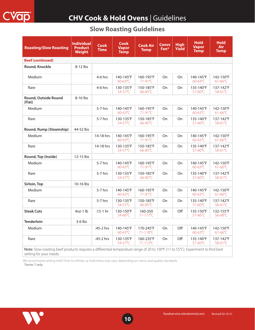## **CHV Cook & Hold Ovens** | Guidelines

## **Slow Roasting Guidelines**

| <b>Roasting/Slow Roasting</b>                                                                                                                               | <b>Individual</b><br><b>Product</b><br><b>Weight</b> | <b>Cook</b><br><b>Time</b> | <b>Cook</b><br><b>Vapor</b><br><b>Temp</b> | <b>Cook Air</b><br><b>Temp</b> | <b>Convc</b><br>Fan* | <b>High</b><br>Yield | <b>Hold</b><br><b>Vapor</b><br><b>Temp</b> | <b>Hold</b><br><b>Air</b><br><b>Temp</b> |
|-------------------------------------------------------------------------------------------------------------------------------------------------------------|------------------------------------------------------|----------------------------|--------------------------------------------|--------------------------------|----------------------|----------------------|--------------------------------------------|------------------------------------------|
| <b>Beef (continued)</b>                                                                                                                                     |                                                      |                            |                                            |                                |                      |                      |                                            |                                          |
| Round, Knuckle                                                                                                                                              | $8-12$ lbs                                           |                            |                                            |                                |                      |                      |                                            |                                          |
| Medium                                                                                                                                                      |                                                      | 4-6 hrs                    | 140-145°F<br>$60 - 63^{\circ}C$            | 160-195°F<br>71-91°C           | On                   | <b>On</b>            | 140-145°F<br>$60 - 63^{\circ}C$            | 142-150°F<br>$61-66^{\circ}$ C           |
| Rare                                                                                                                                                        |                                                      | 4-6 hrs                    | 130-135°F<br>54-57°C                       | 150-185°F<br>66-85°C           | On                   | On                   | 135-140°F<br>57-60°C                       | 137-142°F<br>58-61°C                     |
| Round, Outside Round<br>(Flat)                                                                                                                              | 8-16 lbs                                             |                            |                                            |                                |                      |                      |                                            |                                          |
| Medium                                                                                                                                                      |                                                      | $5-7$ hrs                  | 140-145°F<br>$60 - 63^{\circ}C$            | 160-195°F<br>71-91°C           | On                   | <b>On</b>            | 140-145°F<br>$60 - 63^{\circ}C$            | 142-150°F<br>$61 - 66^{\circ}C$          |
| Rare                                                                                                                                                        |                                                      | 5-7 hrs                    | 130-135°F<br>54-57°C                       | 150-185°F<br>66-85°C           | On                   | On                   | 135-140°F<br>57-60°C                       | 137-142°F<br>58-61°C                     |
| Round, Rump (Steamship)                                                                                                                                     | 44-52 lbs                                            |                            |                                            |                                |                      |                      |                                            |                                          |
| Medium                                                                                                                                                      |                                                      | 14-18 hrs                  | 140-145°F<br>60-63°C                       | 160-195°F<br>71-91°C           | On                   | On                   | 140-145°F<br>60-63°C                       | 142-150°F<br>$61-66^{\circ}$ C           |
| Rare                                                                                                                                                        |                                                      | 14-18 hrs                  | 130-135°F<br>54-57°C                       | 150-185°F<br>66-85°C           | On                   | On                   | 135-140°F<br>57-60°C                       | 137-142°F<br>58-61°C                     |
| Round, Top (Inside)                                                                                                                                         | 12-15 lbs                                            |                            |                                            |                                |                      |                      |                                            |                                          |
| Medium                                                                                                                                                      |                                                      | 5-7 hrs                    | 140-145°F<br>60-63°C                       | 160-195°F<br>71-91°C           | On                   | On                   | 140-145°F<br>$60-63$ °C                    | 142-150°F<br>$61-66^{\circ}$ C           |
| Rare                                                                                                                                                        |                                                      | $5-7$ hrs                  | 130-135°F<br>54-57°C                       | 150-185°F<br>66-85°C           | On                   | On                   | 135-140°F<br>57-60°C                       | 137-142°F<br>58-61°C                     |
| Sirloin, Top                                                                                                                                                | 10-16 lbs                                            |                            |                                            |                                |                      |                      |                                            |                                          |
| Medium                                                                                                                                                      |                                                      | $5-7$ hrs                  | 140-145°F<br>60-63°C                       | 160-195°F<br>71-91°C           | On                   | <b>On</b>            | 140-145°F<br>$60-63^{\circ}$ C             | 142-150°F<br>$61-66^{\circ}$ C           |
| Rare                                                                                                                                                        |                                                      | 5-7 hrs                    | 130-135°F<br>54-57°C                       | 150-185°F<br>66-85°C           | On                   | On                   | 135-140°F<br>57-60°C                       | 137-142°F<br>58-61°C                     |
| <b>Steak Cuts</b>                                                                                                                                           | $4oz-1$ lb                                           | $:15-1$ hr                 | 130-150°F<br>54-66°C                       | 160-350<br>71-177°C            | On                   | Off                  | 135-150°F<br>57-66°C                       | 132-155°F<br>56-68°C                     |
| Tenderloin                                                                                                                                                  | $3-6$ lbs                                            |                            |                                            |                                |                      |                      |                                            |                                          |
| Medium                                                                                                                                                      |                                                      | :45-2 hrs                  | 140-145°F<br>60-63°C                       | 170-245°F<br>71-118°C          | On                   | Off                  | 140-145°F<br>60-63°C                       | 142-150°F<br>$61-66^{\circ}$ C           |
| Rare                                                                                                                                                        |                                                      | :45-2 hrs                  | 130-135°F<br>54-57°C                       | 160-235°F<br>71-113°C          | On                   | Off                  | 135-140°F<br>57-60°C                       | 137-142°F<br>58-61°C                     |
| Note: Slow roasting beef products requires a differential temperature range of 20 to 100°F (11 to 55°C). Experiment to find best<br>setting for your needs. |                                                      |                            |                                            |                                |                      |                      |                                            |                                          |

We recommend setting Hold Time to Infinite, as hold times may vary, depending on menu and quality standards.

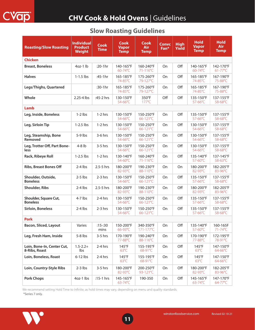| <b>Roasting/Slow Roasting</b>               | <b>Individual</b><br><b>Product</b><br><b>Weight</b> | Cook<br><b>Time</b> | <b>Cook</b><br><b>Vapor</b><br><b>Temp</b> | <b>Cook</b><br><b>Air</b><br><b>Temp</b> | Convc<br>Fan* | <b>High</b><br><b>Yield</b> | <b>Hold</b><br><b>Vapor</b><br><b>Temp</b> | <b>Hold</b><br><b>Air</b><br><b>Temp</b> |
|---------------------------------------------|------------------------------------------------------|---------------------|--------------------------------------------|------------------------------------------|---------------|-----------------------------|--------------------------------------------|------------------------------------------|
| <b>Chicken</b>                              |                                                      |                     |                                            |                                          |               |                             |                                            |                                          |
| <b>Breast, Boneless</b>                     | $4oz-1$ lb                                           | :20-1hr             | 140-165°F<br>60-74°C                       | 160-240°F<br>71-116°C                    | On            | Off                         | 140-165°F<br>$60 - 74$ °C                  | 142-170°F<br>$61-77^{\circ}$ C           |
| <b>Halves</b>                               | $1-1.5$ lbs                                          | $:45-1hr$           | 165-185°F<br>74-85°C                       | 175-260°F<br>79-127°C                    | On            | Off                         | 165-185°F<br>74-85°C                       | 167-190°F<br>75-88°C                     |
| Legs/Thighs, Quartered                      |                                                      | $:30-1hr$           | 165-185°F<br>74-85°C                       | 175-260°F<br>79-127°C                    | On            | Off                         | 165-185°F<br>74-85°C                       | 167-190°F<br>75-88°C                     |
| Whole                                       | 2.25-4 lbs                                           | :45-2 hrs           | 130-150°F<br>54-66°C                       | 350°F<br>$177^{\circ}$ C                 | Off           | Off                         | 135-150°F<br>57-66°C                       | 137-155°F<br>58-68°C                     |
| Lamb                                        |                                                      |                     |                                            |                                          |               |                             |                                            |                                          |
| Leg, Inside, Boneless                       | $1-2$ lbs                                            | $1-2$ hrs           | 130-150°F<br>54-66°C                       | 150-250°F<br>66-121°C                    | On            | Off                         | 135-150°F<br>57-66°C                       | 137-155°F<br>58-68°C                     |
| Leg, Sirloin Tip                            | $1-2.5$ lbs                                          | $1-2$ hrs           | 130-150°F<br>54-66°C                       | 150-250°F<br>66-121°C                    | On            | Off                         | 130-150°F<br>54-66°C                       | 137-155°F<br>58-68°C                     |
| Leg, Steamship, Bone<br>Removed             | 5-9 lbs                                              | $3-6$ hrs           | 130-150°F<br>54-66°C                       | 150-250°F<br>66-121°C                    | On            | Off                         | 130-150°F<br>54-66°C                       | 137-155°F<br>58-68°C                     |
| Leg, Trotter Off, Part Bone-<br>less        | $4-8$ lb                                             | $3-5$ hrs           | 130-150°F<br>54-66°C                       | 150-250°F<br>66-121°C                    | On            | Off                         | 130-150°F<br>54-66°C                       | 137-155°F<br>58-68°C                     |
| Rack, Ribeye Roll                           | $1-2.5$ lbs                                          | $1-2$ hrs           | 130-140°F<br>54-60°C                       | 160-240°F<br>$71 - 116^{\circ}C$         | On            | Off                         | 135-140°F<br>57-60°C                       | 137-145°F<br>58-63°C                     |
| <b>Ribs, Breast Bones Off</b>               | $2-4$ lbs                                            | 2.5-5 hrs           | 180-200°F<br>82-93°C                       | 190-230°F<br>88-110°C                    | On            | <b>On</b>                   | 180-200°F<br>82-93°C                       | 182-205°F<br>83-96°C                     |
| Shoulder, Outside,<br><b>Boneless</b>       | $2-5$ lbs                                            | $2-3$ hrs           | 130-150°F<br>54-66°C                       | 150-250°F<br>66-121°C                    | On            | Off                         | 135-150°F<br>57-66°C                       | 137-155°F<br>58-68°C                     |
| <b>Shoulder, Ribs</b>                       | $2-4$ lbs                                            | $2.5 - 5$ hrs       | 180-200°F<br>82-93°C                       | 190-230°F<br>88-110°C                    | On            | Off                         | 180-200°F<br>82-93°C                       | 182-205°F<br>83-96°C                     |
| Shoulder, Square Cut,<br><b>Boneless</b>    | $4-7$ lbs                                            | $2-4$ hrs           | 130-150°F<br>54-66°C                       | 150-250°F<br>66-121°C                    | On            | Off                         | 135-150°F<br>57-66°C                       | 137-155°F<br>58-68°C                     |
| <b>Sirloin, Boneless</b>                    | $2-4$ lbs                                            | $2-3$ hrs           | 130-150°F<br>54-66°C                       | 150-250°F<br>66-121°C                    | On            | Off                         | 135-150°F<br>57-66°C                       | 137-155°F<br>58-68°C                     |
| <b>Pork</b>                                 |                                                      |                     |                                            |                                          |               |                             |                                            |                                          |
| <b>Bacon, Sliced, Layout</b>                | Varies                                               | $:15 - 30$<br>mins  | 150-200°F<br>66-93°C                       | 340-350°F<br>$171 - 177^{\circ}$ C       | On            | Off                         | 135-140°F<br>57-60°C                       | 160-165F<br>71-74°C                      |
| Leg, Fresh Ham, Inside                      | 5-8 lbs                                              | $3-5$ hrs           | 170-190°F<br>77-88°C                       | 190-240°F<br>88-116°C                    | On            | Off                         | 170-190°F<br>77-88°C                       | 172-195°F<br>78-91°C                     |
| Loin, Bone-In, Center Cut,<br>8-Ribs, Roast | $1.5 - 2.2 +$<br>Ibs                                 | $2-4$ hrs           | $145^{\circ}F$<br>$63^{\circ}$ C           | 155-195°F<br>68-91°C                     | On            | Off                         | $145^{\circ}F$<br>$63^{\circ}$ C           | 147-150°F<br>64-66°C                     |
| Loin, Boneless, Roast                       | $6-12$ lbs                                           | 2-4 hrs             | $145^{\circ}F$<br>$63^{\circ}$ C           | 155-195°F<br>68-91°C                     | On            | Off                         | $145^{\circ}$ F<br>$63^{\circ}$ C          | 147-150°F<br>64-66°C                     |
| Loin, Country-Style Ribs                    | $2-3$ lbs                                            | $3-5$ hrs           | 180-200°F<br>82-93°C                       | 200-250°F<br>93-121°C                    | On            | Off                         | 180-200°F<br>82-93°C                       | 182-205°F<br>83-96°C                     |
| <b>Pork Chops</b>                           | 4oz-1 lbs                                            | :15-1 hrs           | 145-165°F<br>$63-74^{\circ}C$              | 190-350                                  | On            | Off                         | 145-165°F<br>$63 - 74^{\circ}C$            | 147-170°F<br>$64-77^{\circ}$ C           |

#### **Slow Roasting Guidelines**

\*Series 7 only. We recommend setting Hold Time to Infinite, as hold times may vary, depending on menu and quality standards.

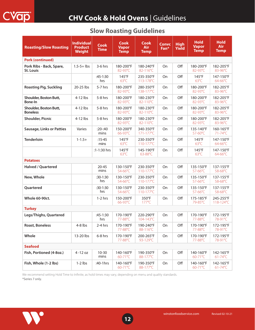| <b>Roasting/Slow Roasting</b>                | <b>Individual</b><br><b>Product</b><br><b>Weight</b> | <b>Cook</b><br><b>Time</b> | Cook<br><b>Vapor</b><br><b>Temp</b> | Cook<br>Air<br><b>Temp</b>         | <b>Convc</b><br>Fan* | <b>High</b><br><b>Yield</b> | <b>Hold</b><br><b>Vapor</b><br><b>Temp</b> | <b>Hold</b><br><b>Air</b><br><b>Temp</b> |
|----------------------------------------------|------------------------------------------------------|----------------------------|-------------------------------------|------------------------------------|----------------------|-----------------------------|--------------------------------------------|------------------------------------------|
| <b>Pork (continued)</b>                      |                                                      |                            |                                     |                                    |                      |                             |                                            |                                          |
| Pork Ribs - Back, Spare,<br><b>St. Louis</b> | $1.5 - 5 +$ lbs                                      | $3-6$ hrs                  | 180-200°F<br>82-93°C                | 180-240°F<br>82-116°C              | On                   | Off                         | 180-200°F<br>82-93°C                       | 182-205°F<br>83-96°C                     |
|                                              |                                                      | $:45-1:30$<br>hrs          | $145^{\circ}F$<br>$63^{\circ}$ C    | 235-350°F<br>113-178°C             | On                   | Off                         | $145^{\circ}F$<br>$63^{\circ}$ C           | 147-150°F<br>64-66°C                     |
| <b>Roasting Pig, Suckling</b>                | 20-25 lbs                                            | $5-7$ hrs                  | 180-200°F<br>82-93°C                | 280-350°F<br>138-177°C             | On                   | Off                         | 180-200°F<br>82-93°C                       | 182-205°F<br>83-96°C                     |
| Shoulder, Boston Butt,<br><b>Bone-In</b>     | $4-12$ lbs                                           | $5-8$ hrs                  | 180-200°F<br>82-93°C                | 180-230°F<br>82-110°C              | On                   | Off                         | 180-200°F<br>82-93°C                       | 182-205°F<br>83-96°C                     |
| Shoulder, Boston Butt,<br><b>Boneless</b>    | $4-12$ lbs                                           | $5-8$ hrs                  | 180-200°F<br>82-93°C                | 180-230°F<br>82-110°C              | On                   | Off                         | 180-200°F<br>82-93°C                       | 182-205°F<br>83-96°C                     |
| <b>Shoulder, Picnic</b>                      | $4-12$ lbs                                           | $5-8$ hrs                  | 180-200°F<br>82-93°C                | 180-230°F<br>82-110°C              | On                   | Off                         | 180-200°F<br>82-93°C                       | 182-205°F<br>83-96°C                     |
| <b>Sausage, Links or Patties</b>             | Varies                                               | :20:40<br>mins             | 150-200°F<br>66-93°C                | 340-350°F<br>$171 - 177^{\circ}$ C | On                   | Off                         | 135-140°F<br>57-60°C                       | $160 - 165$ °F<br>71-74°C                |
| <b>Tenderloin</b>                            | $1 - 1.5 +$                                          | $:15-45$<br>mins           | 145°F<br>$63^{\circ}$ C             | 230-350°F<br>110-177°C             | On                   | Off                         | $145^{\circ}$ F<br>$63^{\circ}$ C          | 147-150°F<br>$64 - 66^{\circ}$ C         |
|                                              |                                                      | $:1 - 1:30$ hrs            | $145^{\circ}F$<br>$63^{\circ}$ C    | 145-190°F<br>63-88°C               | On                   | Off                         | $145^{\circ}F$<br>$63^{\circ}$ C           | 147-150°F<br>$64-66^{\circ}$ C           |
| <b>Potatoes</b>                              |                                                      |                            |                                     |                                    |                      |                             |                                            |                                          |
| <b>Halved / Quartered</b>                    |                                                      | $20 - 45$<br>mins          | 130-150°F<br>54-66°C                | 230-350°F<br>110-177°C             | On                   | Off                         | 135-150°F<br>57-66°C                       | 137-155°F<br>58-68°C                     |
| New, Whole                                   |                                                      | $:30-1:30$<br>hrs          | 130-150°F<br>54-66°C                | 230-350°F<br>110-177°C             | On                   | Off                         | 135-150°F<br>57-66°C                       | 137-155°F<br>58-68°C                     |
| Quartered                                    |                                                      | $:30-1:30$<br>hrs          | 130-150°F<br>54-66°C                | 230-350°F<br>110-177°C             | On                   | Off                         | 135-150°F<br>57-66°C                       | 137-155°F<br>58-68°C                     |
| Whole 60-90ct.                               |                                                      | $1-2$ hrs                  | 150-200°F<br>66-93°C                | 350°F<br>177°C                     | On                   | Off                         | 175-185°F<br>79-85°C                       | 245-255°F<br>118-124°C                   |
| <b>Turkey</b>                                |                                                      |                            |                                     |                                    |                      |                             |                                            |                                          |
| Legs/Thighs, Quartered                       |                                                      | $:45-1:30$<br>hrs          | 170-190°F<br>77-88°C                | 220-290°F<br>104-143°C             | On                   | Off                         | 170-190°F<br>77-88°C                       | 172-195°F<br>78-91°C                     |
| <b>Roast, Boneless</b>                       | $4-8$ lbs                                            | 2-4 hrs                    | 170-190°F<br>77-88°C                | 190-240°F<br>88-116°C              | On                   | Off                         | 170-190°F<br>77-88°C                       | 172-195°F<br>78-91°C                     |
| Whole                                        | 13-20 lbs                                            | 6-8 hrs                    | 170-190°F<br>77-88°C                | 200-265°F<br>93-129°C              | On                   | Off                         | 170-190°F<br>77-88°C                       | 172-195°F<br>78-91°C                     |
| <b>Seafood</b>                               |                                                      |                            |                                     |                                    |                      |                             |                                            |                                          |
| Fish, Portioned (4-8oz.)                     | $4 - 12$ oz                                          | $10 - 30$<br>mins          | 140-160°F<br>60-71°C                | 190-350°F<br>88-177°C              | On                   | Off                         | 140-160°F<br>60-71°C                       | 142-165°F<br>$61 - 74$ °C                |
| Fish, Whole (1-2 lbs)                        | $1-2$ lbs                                            | :40-1hrs                   | 140-160°F<br>60-71°C                | 190-350°F<br>88-177°C              | On                   | Off                         | 140-160°F<br>60-71°C                       | 142-165°F<br>$61-74$ °C                  |

**12**

#### **Slow Roasting Guidelines**

\*Series 7 only. We recommend setting Hold Time to Infinite, as hold times may vary, depending on menu and quality standards.

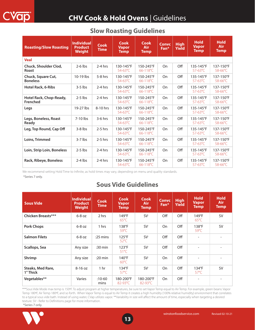| <b>Roasting/Slow Roasting</b>              | <b>Individual</b><br><b>Product</b><br><b>Weight</b> | Cook<br><b>Time</b> | Cook<br><b>Vapor</b><br><b>Temp</b> | <b>Cook</b><br>Air<br><b>Temp</b> | <b>Convc</b><br>Fan* | <b>High</b><br><b>Yield</b> | <b>Hold</b><br><b>Vapor</b><br><b>Temp</b> | <b>Hold</b><br><b>Air</b><br><b>Temp</b> |  |
|--------------------------------------------|------------------------------------------------------|---------------------|-------------------------------------|-----------------------------------|----------------------|-----------------------------|--------------------------------------------|------------------------------------------|--|
| <b>Veal</b>                                |                                                      |                     |                                     |                                   |                      |                             |                                            |                                          |  |
| Chuck, Shoulder Clod,<br>Roast             | $2-6$ lbs                                            | $2-4$ hrs           | 130-145°F<br>$54-63^{\circ}$ C      | 150-245°F<br>66-118°C             | On                   | Off                         | 135-145°F<br>$57-63^{\circ}$ C             | 137-150°F<br>58-66°C                     |  |
| Chuck, Square Cut,<br><b>Boneless</b>      | 10-19 lbs                                            | $5-8$ hrs           | 130-145°F<br>$54 - 63^{\circ}$ C    | 150-245°F<br>66-118°C             | On                   | Off                         | 135-145°F<br>$57-63^{\circ}$ C             | 137-150°F<br>58-66°C                     |  |
| Hotel Rack, 6-Ribs                         | $3-5$ lbs                                            | $2-4$ hrs           | 130-145°F<br>54-63°C                | 150-245°F<br>66-118°C             | On                   | Off                         | 135-145°F<br>$57-63^{\circ}$ C             | 137-150°F<br>58-66°C                     |  |
| Hotel Rack, Chop-Ready,<br><b>Frenched</b> | $2-5$ lbs                                            | $2-4$ hrs           | 130-145°F<br>$54 - 63^{\circ}$ C    | 150-245°F<br>66-118°C             | On                   | Off                         | 135-145°F<br>$57 - 63^{\circ}$ C           | 137-150°F<br>58-66°C                     |  |
| Legs                                       | 19-27 lbs                                            | 8-10 hrs            | 130-145°F<br>54-63°C                | 150-245°F<br>66-118°C             | On                   | Off                         | 135-145°F<br>$57 - 63^{\circ}$ C           | 137-150°F<br>58-66°C                     |  |
| Legs, Boneless, Roast<br>Ready             | $7-10$ lbs                                           | $3-6$ hrs           | 130-145°F<br>54-63°C                | 150-245°F<br>66-118°C             | On                   | Off                         | 135-145°F<br>$57 - 63^{\circ}$ C           | 137-150°F<br>58-66°C                     |  |
| Leg, Top Round, Cap Off                    | $3-8$ lbs                                            | $2-5$ hrs           | 130-145°F<br>54-63°C                | 150-245°F<br>66-118°C             | On                   | Off                         | 135-145°F<br>$57-63^{\circ}$ C             | 137-150°F<br>58-66°C                     |  |
| Loins, Trimmed                             | $3-7$ lbs                                            | $2-5$ hrs           | 130-145°F<br>54-63°C                | 150-245°F<br>66-118°C             | On                   | Off                         | 135-145°F<br>$57-63^{\circ}$ C             | 137-150°F<br>58-66°C                     |  |
| Loin, Strip Loin, Boneless                 | $2-5$ lbs                                            | $2-4$ hrs           | 130-145°F<br>54-63°C                | 150-245°F<br>66-118°C             | On                   | Off                         | 135-145°F<br>$57-63^{\circ}$ C             | 137-150°F<br>58-66°C                     |  |
| Rack, Ribeye, Boneless                     | $2-4$ lbs                                            | $2-4$ hrs           | 130-145°F<br>54-63°C                | 150-245°F<br>66-118°C             | On                   | Off                         | 135-145°F<br>$57-63$ °C                    | 137-150°F<br>58-66°C                     |  |

#### **Slow Roasting Guidelines**

\*Series 7 only. We recommend setting Hold Time to Infinite, as hold times may vary, depending on menu and quality standards.

#### **Sous Vide Guidelines**

| <b>Sous Vide</b>              | <b>Individual</b><br><b>Product</b><br><b>Weight</b> | <b>Cook</b><br><b>Time</b> | <b>Cook</b><br><b>Vapor</b><br><b>Temp</b> | <b>Cook</b><br>Air :<br><b>Temp</b> | <b>Convc</b><br>Fan* | <b>High</b><br><b>Yield</b> | <b>Hold</b><br>Vapor<br><b>Temp</b> | <b>Hold</b><br><b>Air</b><br><b>Temp</b> |
|-------------------------------|------------------------------------------------------|----------------------------|--------------------------------------------|-------------------------------------|----------------------|-----------------------------|-------------------------------------|------------------------------------------|
| Chicken Breasts***            | $6-8$ oz                                             | 2 hrs                      | $149^{\circ}F$<br>$65^{\circ}$ C           | SV <sup>1</sup>                     | Off                  | Off                         | 149°F<br>$65^{\circ}$ C             | <b>SV</b>                                |
| <b>Pork Chops</b>             | $6-8$ oz                                             | 1 hrs                      | 138°F<br>$59^{\circ}$ C                    | SV <sup>1</sup>                     | On                   | Off                         | $138^{\circ}$ F<br>$59^{\circ}$ C   | <b>SV</b>                                |
| <b>Salmon Filets</b>          | $6-8$ oz                                             | $:25 \text{ mins}$         | $125^{\circ}F$<br>$52^{\circ}$ C           | <b>SV</b>                           | Off                  | Off                         | $\overline{\phantom{a}}$            | $\overline{\phantom{a}}$                 |
| Scallops, Sea                 | Any size                                             | $:30 \text{ min}$          | $123^{\circ}F$<br>$51^{\circ}$ C           | SV <sup>1</sup>                     | Off                  | Off                         |                                     |                                          |
| Shrimp                        | Any size                                             | $:20 \text{ min}$          | $140^{\circ}$ F<br>$60^{\circ}$ C          | SV <sup>1</sup>                     | On                   | Off                         | $\overline{\phantom{a}}$            |                                          |
| Steaks, Med Rare,<br>1" Thick | $8-16$ oz                                            | 1 <sub>hr</sub>            | $134^{\circ}F$<br>$57^{\circ}$ C           | <b>SV</b>                           | On                   | Off                         | $134^{\circ}F$<br>$57^{\circ}$ C    | <b>SV</b>                                |
| Vegetables**                  | Varies                                               | $:10-60$<br>mins           | 180-200°F<br>82-93°C                       | 180-200°F<br>$82 - 93^{\circ}$ C    | On                   | Off                         | $\overline{\phantom{a}}$            |                                          |

\*\*\*Sous Vide Mode max temp is 150oF. To adjust program at higher temperatures, be sure to set Vapor Temp equal to Air Temp. For example, green beans: Vapor Temp 180oF, Air Temp 180oF, and so forth. When Vapor Temp is equal to Air Temp it creates a high humidity (100% relative humidity) environment that correlates to a typical sous vide bath. Instead of using water, CVap utilizes vapor. \*\*Variability in size will affect the amount of time, especially when targeting a desired texture. SV<sup>I</sup>- Refer to Definitions page for more information.